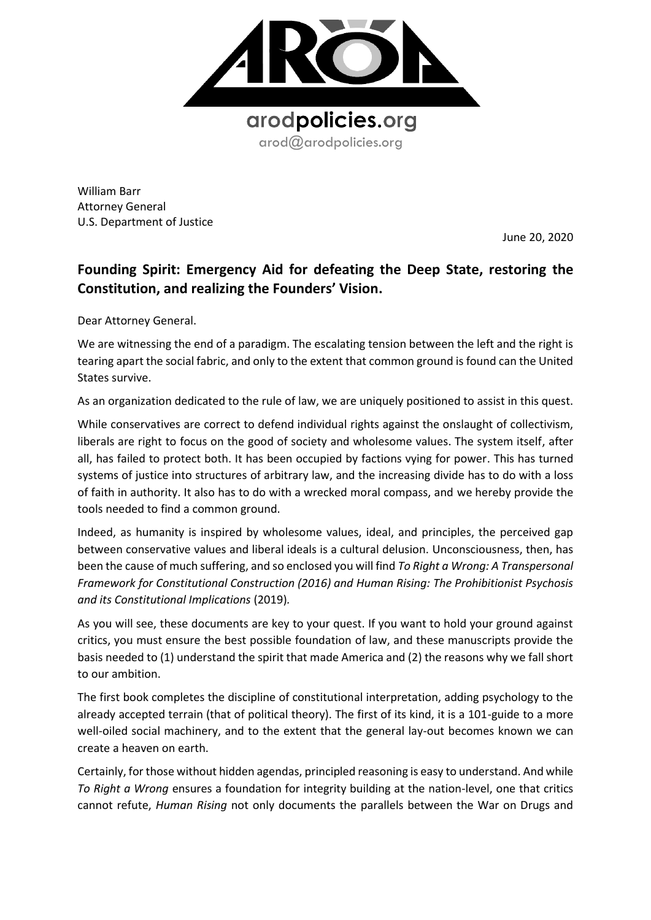

William Barr Attorney General U.S. Department of Justice

June 20, 2020

## **Founding Spirit: Emergency Aid for defeating the Deep State, restoring the Constitution, and realizing the Founders' Vision.**

Dear Attorney General.

We are witnessing the end of a paradigm. The escalating tension between the left and the right is tearing apart the social fabric, and only to the extent that common ground is found can the United States survive.

As an organization dedicated to the rule of law, we are uniquely positioned to assist in this quest.

While conservatives are correct to defend individual rights against the onslaught of collectivism, liberals are right to focus on the good of society and wholesome values. The system itself, after all, has failed to protect both. It has been occupied by factions vying for power. This has turned systems of justice into structures of arbitrary law, and the increasing divide has to do with a loss of faith in authority. It also has to do with a wrecked moral compass, and we hereby provide the tools needed to find a common ground.

Indeed, as humanity is inspired by wholesome values, ideal, and principles, the perceived gap between conservative values and liberal ideals is a cultural delusion. Unconsciousness, then, has been the cause of much suffering, and so enclosed you will find *To Right a Wrong: A Transpersonal Framework for Constitutional Construction (2016) and Human Rising: The Prohibitionist Psychosis and its Constitutional Implications* (2019)*.* 

As you will see, these documents are key to your quest. If you want to hold your ground against critics, you must ensure the best possible foundation of law, and these manuscripts provide the basis needed to (1) understand the spirit that made America and (2) the reasons why we fall short to our ambition.

The first book completes the discipline of constitutional interpretation, adding psychology to the already accepted terrain (that of political theory). The first of its kind, it is a 101-guide to a more well-oiled social machinery, and to the extent that the general lay-out becomes known we can create a heaven on earth.

Certainly, for those without hidden agendas, principled reasoning is easy to understand. And while *To Right a Wrong* ensures a foundation for integrity building at the nation-level, one that critics cannot refute, *Human Rising* not only documents the parallels between the War on Drugs and